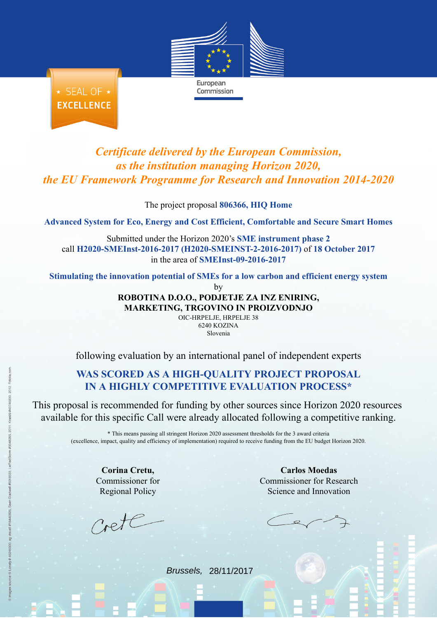

★ SEAL OF ★ **EXCELLENCE** 

## *Certificate delivered by the European Commission, as the institution managing Horizon 2020, the EU Framework Programme for Research and Innovation 2014-2020*

Commission

The project proposal **806366, HIQ Home**

**Advanced System for Eco, Energy and Cost Efficient, Comfortable and Secure Smart Homes**

Submitted under the Horizon 2020's **SME instrument phase 2** call **H2020-SMEInst-2016-2017 (H2020-SMEINST-2-2016-2017)** of **18 October 2017** in the area of **SMEInst-09-2016-2017**

**Stimulating the innovation potential of SMEs for a low carbon and efficient energy system**

by

**ROBOTINA D.O.O., PODJETJE ZA INZ ENIRING, MARKETING, TRGOVINO IN PROIZVODNJO**

OIC-HRPELJE, HRPELJE 38 6240 KOZINA Slovenia

following evaluation by an international panel of independent experts

## **WAS SCORED AS A HIGH-QUALITY PROJECT PROPOSAL IN A HIGHLY COMPETITIVE [EVALUATION](http://ec.europa.eu/research/participants/portal/desktop/en/funding/sme_participation.html) PROCESS\***

This proposal is recommended for funding by other sources since Horizon 2020 resources available for this specific Call were already allocated following a competitive ranking.

> \* This means passing all stringent Horizon 2020 assessment thresholds for the 3 award criteria (excellence, impact, quality and efficiency of implementation) required to receive funding from the EU budget Horizon 2020.

**Corina Cretu,** Commissioner for Regional Policy

Crete

**Carlos Moedas** Commissioner for Research Science and Innovation

Brussels, 28/11/2017